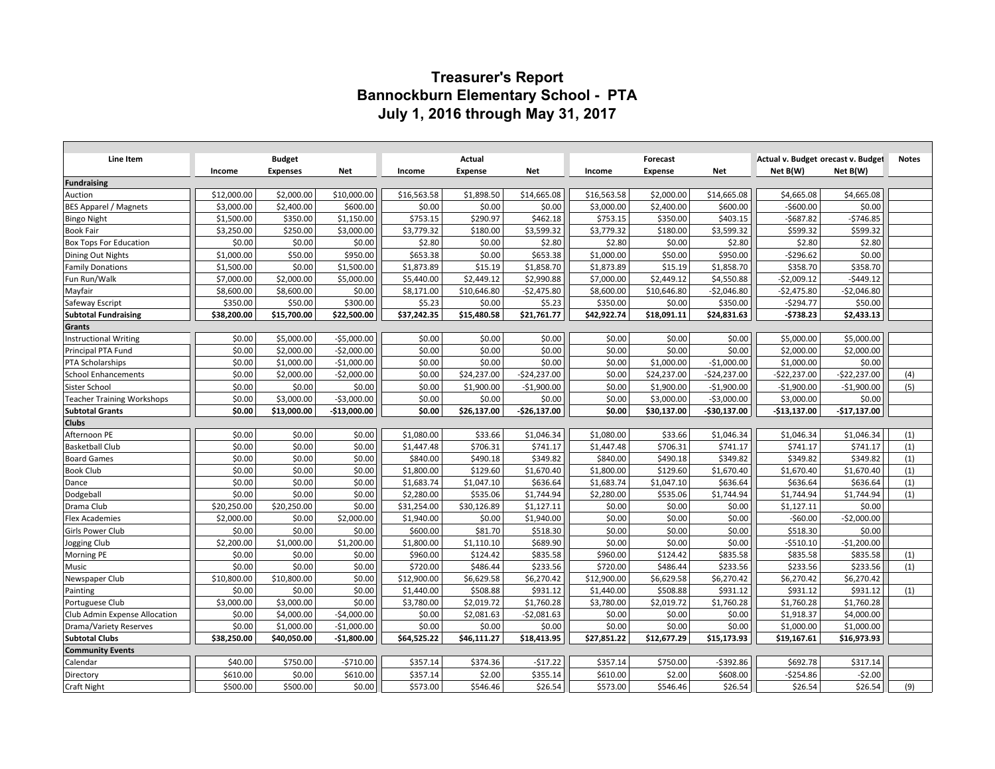# **Treasurer's Report Bannockburn Elementary School - PTA July 1, 2016 through May 31, 2017**

| Line Item                            |                          | <b>Budget</b>          |                        |                    | Actual             |                    |                        | Forecast               |                      | Actual v. Budget orecast v. Budget |                      | <b>Notes</b> |
|--------------------------------------|--------------------------|------------------------|------------------------|--------------------|--------------------|--------------------|------------------------|------------------------|----------------------|------------------------------------|----------------------|--------------|
|                                      | Income                   | <b>Expenses</b>        | Net                    | Income             | <b>Expense</b>     | Net                | Income                 | <b>Expense</b>         | <b>Net</b>           | Net B(W)                           | Net B(W)             |              |
| <b>Fundraising</b>                   |                          | \$2,000.00             |                        |                    |                    |                    |                        |                        |                      |                                    |                      |              |
| Auction                              | \$12,000.00              |                        | \$10,000.00            | \$16,563.58        | \$1,898.50         | \$14,665.08        | \$16,563.58            | \$2,000.00             | \$14,665.08          | \$4,665.08                         | \$4,665.08           |              |
| BES Apparel / Magnets                | \$3,000.00<br>\$1,500.00 | \$2,400.00<br>\$350.00 | \$600.00<br>\$1,150.00 | \$0.00<br>\$753.15 | \$0.00<br>\$290.97 | \$0.00<br>\$462.18 | \$3,000.00<br>\$753.15 | \$2,400.00<br>\$350.00 | \$600.00<br>\$403.15 | $-$600.00$<br>$-5687.82$           | \$0.00<br>$-$746.85$ |              |
| Bingo Night<br><b>Book Fair</b>      | \$3,250.00               | \$250.00               | \$3,000.00             | \$3,779.32         | \$180.00           | \$3,599.32         | \$3,779.32             | \$180.00               | \$3,599.32           | \$599.32                           | \$599.32             |              |
| <b>Box Tops For Education</b>        | \$0.00                   | \$0.00                 | \$0.00                 | \$2.80             | \$0.00             | \$2.80             | \$2.80                 | \$0.00                 | \$2.80               | \$2.80                             | \$2.80               |              |
| Dining Out Nights                    | \$1,000.00               | \$50.00                | \$950.00               | \$653.38           | \$0.00             | \$653.38           | \$1,000.00             | \$50.00                | \$950.00             | $-5296.62$                         | \$0.00               |              |
| <b>Family Donations</b>              | \$1,500.00               | \$0.00                 | \$1,500.00             | \$1,873.89         | \$15.19            | \$1,858.70         | \$1,873.89             | \$15.19                | \$1,858.70           | \$358.70                           | \$358.70             |              |
| Fun Run/Walk                         | \$7,000.00               | \$2,000.00             | \$5,000.00             | \$5,440.00         | \$2,449.12         | \$2,990.88         | \$7,000.00             | \$2,449.12             | \$4,550.88           | $-$2,009.12$                       | $-5449.12$           |              |
| Mayfair                              | \$8,600.00               | \$8,600.00             | \$0.00                 | \$8,171.00         | \$10,646.80        | $-$2,475.80$       | \$8,600.00             | \$10,646.80            | $-$2,046.80$         | $-$2,475.80$                       | $-$2,046.80$         |              |
| Safeway Escript                      | \$350.00                 | \$50.00                | \$300.00               | \$5.23             | \$0.00             | \$5.23             | \$350.00               | \$0.00                 | \$350.00             | $-5294.77$                         | \$50.00              |              |
| <b>Subtotal Fundraising</b>          | \$38,200.00              | \$15,700.00            | \$22,500.00            | \$37,242.35        | \$15,480.58        | \$21,761.77        | \$42,922.74            | \$18,091.11            | \$24,831.63          | -\$738.23                          | \$2,433.13           |              |
| Grants                               |                          |                        |                        |                    |                    |                    |                        |                        |                      |                                    |                      |              |
| <b>Instructional Writing</b>         | \$0.00                   | \$5,000.00             | $-$5,000.00$           | \$0.00             | \$0.00             | \$0.00             | \$0.00                 | \$0.00                 | \$0.00               | \$5,000.00                         | \$5,000.00           |              |
| Principal PTA Fund                   | \$0.00                   | \$2,000.00             | $-$2,000.00$           | \$0.00             | \$0.00             | \$0.00             | \$0.00                 | \$0.00                 | \$0.00               | \$2,000.00                         | \$2,000.00           |              |
| <b>PTA Scholarships</b>              | \$0.00                   | \$1,000.00             | $-$1,000.00$           | \$0.00             | \$0.00             | \$0.00             | \$0.00                 | \$1,000.00             | $-$1,000.00$         | \$1,000.00                         | \$0.00               |              |
| <b>School Enhancements</b>           | \$0.00                   | \$2,000.00             | $-$2,000.00$           | \$0.00             | \$24,237.00        | $-$24,237.00$      | \$0.00                 | \$24,237.00            | $-$24,237.00$        | $-$22,237.00$                      | $-$22,237.00$        | (4)          |
| Sister School                        | \$0.00                   | \$0.00                 | \$0.00                 | \$0.00             | \$1,900.00         | $-$1,900.00$       | \$0.00                 | \$1,900.00             | $-$1,900.00$         | $-$1,900.00$                       | $-$1,900.00$         | (5)          |
| <b>Teacher Training Workshops</b>    | \$0.00                   | \$3,000.00             | $-$3,000.00$           | \$0.00             | \$0.00             | \$0.00             | \$0.00                 | \$3,000.00             | $-$3,000.00$         | \$3,000.00                         | \$0.00               |              |
| <b>Subtotal Grants</b>               | \$0.00                   | \$13,000.00            | $-$13,000.00$          | \$0.00             | \$26,137.00        | $-$26,137.00$      | \$0.00                 | \$30,137.00            | -\$30,137.00         | -\$13,137.00                       | $-$17,137.00$        |              |
| <b>Clubs</b>                         |                          |                        |                        |                    |                    |                    |                        |                        |                      |                                    |                      |              |
| Afternoon PE                         | \$0.00                   | \$0.00                 | \$0.00                 | \$1,080.00         | \$33.66            | \$1,046.34         | \$1,080.00             | \$33.66                | \$1,046.34           | \$1,046.34                         | \$1,046.34           | (1)          |
| <b>Basketball Club</b>               | \$0.00                   | \$0.00                 | \$0.00                 | \$1,447.48         | \$706.31           | \$741.17           | \$1,447.48             | \$706.31               | \$741.17             | \$741.17                           | \$741.17             | (1)          |
| <b>Board Games</b>                   | \$0.00                   | \$0.00                 | \$0.00                 | \$840.00           | \$490.18           | \$349.82           | \$840.00               | \$490.18               | \$349.82             | \$349.82                           | \$349.82             | (1)          |
| <b>Book Club</b>                     | \$0.00                   | \$0.00                 | \$0.00                 | \$1,800.00         | \$129.60           | \$1,670.40         | \$1,800.00             | \$129.60               | \$1,670.40           | \$1,670.40                         | \$1,670.40           | (1)          |
| Dance                                | \$0.00                   | \$0.00                 | \$0.00                 | \$1,683.74         | \$1,047.10         | \$636.64           | \$1,683.74             | \$1,047.10             | \$636.64             | \$636.64                           | \$636.64             | (1)          |
| Dodgeball                            | \$0.00                   | \$0.00                 | \$0.00                 | \$2,280.00         | \$535.06           | \$1,744.94         | \$2,280.00             | \$535.06               | \$1,744.94           | \$1,744.94                         | \$1,744.94           | (1)          |
| Drama Club                           | \$20,250.00              | \$20,250.00            | \$0.00                 | \$31,254.00        | \$30,126.89        | \$1,127.11         | \$0.00                 | \$0.00                 | \$0.00               | \$1,127.11                         | \$0.00               |              |
| <b>Flex Academies</b>                | \$2,000.00               | \$0.00                 | \$2,000.00             | \$1,940.00         | \$0.00             | \$1,940.00         | \$0.00                 | \$0.00                 | \$0.00               | $-$60.00$                          | $-$2,000.00$         |              |
| Girls Power Club                     | \$0.00                   | \$0.00                 | \$0.00                 | \$600.00           | \$81.70            | \$518.30           | \$0.00                 | \$0.00                 | \$0.00               | \$518.30                           | \$0.00               |              |
| Jogging Club                         | \$2,200.00               | \$1,000.00             | \$1,200.00             | \$1,800.00         | \$1,110.10         | \$689.90           | \$0.00                 | \$0.00                 | \$0.00               | $-5510.10$                         | $-$1,200.00$         |              |
| Morning PE                           | \$0.00                   | \$0.00                 | \$0.00                 | \$960.00           | \$124.42           | \$835.58           | \$960.00               | \$124.42               | \$835.58             | \$835.58                           | \$835.58             | (1)          |
| Music                                | \$0.00                   | \$0.00                 | \$0.00                 | \$720.00           | \$486.44           | \$233.56           | \$720.00               | \$486.44               | \$233.56             | \$233.56                           | \$233.56             | (1)          |
| Newspaper Club                       | \$10,800.00              | \$10,800.00            | \$0.00                 | \$12,900.00        | \$6,629.58         | \$6,270.42         | \$12,900.00            | \$6,629.58             | \$6,270.42           | \$6,270.42                         | \$6,270.42           |              |
| Painting                             | \$0.00                   | \$0.00                 | \$0.00                 | \$1,440.00         | \$508.88           | \$931.12           | \$1,440.00             | \$508.88               | \$931.12             | \$931.12                           | \$931.12             | (1)          |
| Portuguese Club                      | \$3,000.00               | \$3,000.00             | \$0.00                 | \$3,780.00         | \$2,019.72         | \$1,760.28         | \$3,780.00             | \$2,019.72             | \$1,760.28           | \$1,760.28                         | \$1,760.28           |              |
| <b>Club Admin Expense Allocation</b> | \$0.00                   | \$4,000.00             | $-$4,000.00$           | \$0.00             | \$2,081.63         | $-$2,081.63$       | \$0.00                 | \$0.00                 | \$0.00               | \$1,918.37                         | \$4,000.00           |              |
| Drama/Variety Reserves               | \$0.00                   | \$1,000.00             | $-$1,000.00$           | \$0.00             | \$0.00             | \$0.00             | \$0.00                 | \$0.00                 | \$0.00               | \$1,000.00                         | \$1,000.00           |              |
| <b>Subtotal Clubs</b>                | \$38,250.00              | \$40,050.00            | $-$1,800.00$           | \$64,525.22        | \$46,111.27        | \$18,413.95        | \$27,851.22            | \$12,677.29            | \$15,173.93          | \$19,167.61                        | \$16,973.93          |              |
| <b>Community Events</b>              |                          |                        |                        |                    |                    |                    |                        |                        |                      |                                    |                      |              |
| Calendar                             | \$40.00                  | \$750.00               | $-5710.00$             | \$357.14           | \$374.36           | $-517.22$          | \$357.14               | \$750.00               | $-5392.86$           | \$692.78                           | \$317.14             |              |
| Directory                            | \$610.00                 | \$0.00                 | \$610.00               | \$357.14           | \$2.00             | \$355.14           | \$610.00               | \$2.00                 | \$608.00             | $-$ \$254.86                       | $-52.00$             |              |
| Craft Night                          | \$500.00                 | \$500.00               | \$0.00                 | \$573.00           | \$546.46           | \$26.54            | \$573.00               | \$546.46               | \$26.54              | \$26.54                            | \$26.54              | (9)          |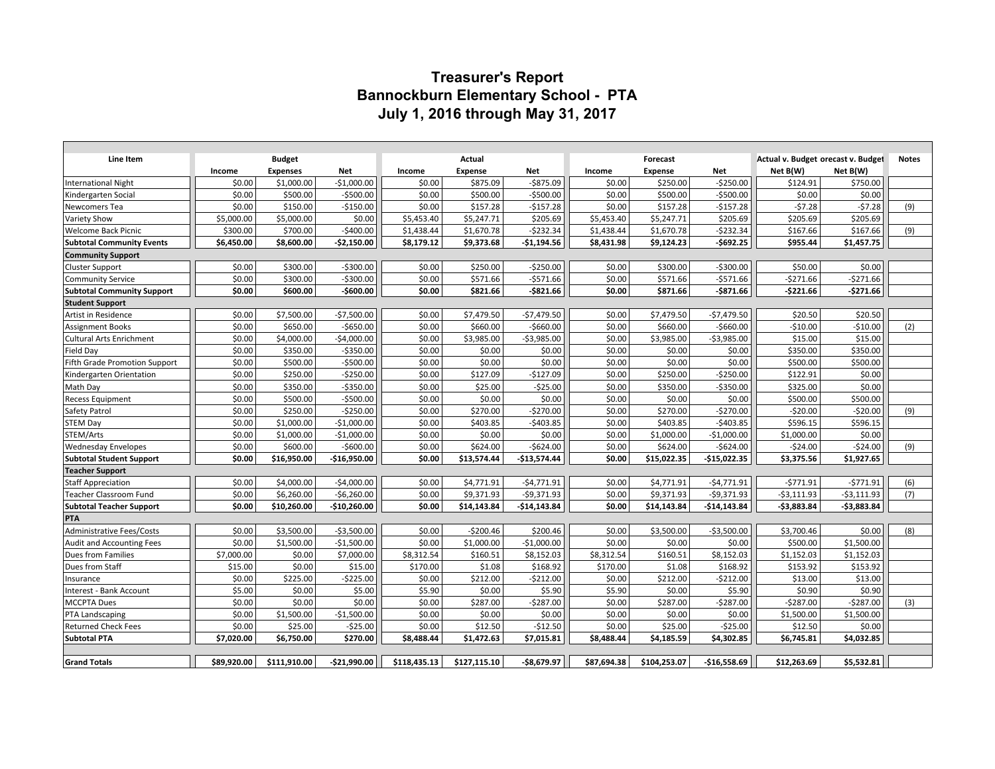# **Treasurer's Report Bannockburn Elementary School - PTA July 1, 2016 through May 31, 2017**

| Line Item                         |             | <b>Budget</b>   |               |              | Actual         |               |             | Forecast       |               | Actual v. Budget orecast v. Budget |              | <b>Notes</b> |
|-----------------------------------|-------------|-----------------|---------------|--------------|----------------|---------------|-------------|----------------|---------------|------------------------------------|--------------|--------------|
|                                   | Income      | <b>Expenses</b> | Net           | Income       | <b>Expense</b> | Net           | Income      | <b>Expense</b> | Net           | Net B(W)                           | Net B(W)     |              |
| <b>International Night</b>        | \$0.00      | \$1,000.00      | $-$1,000.00$  | \$0.00       | \$875.09       | $-5875.09$    | \$0.00      | \$250.00       | $-$ \$250.00  | \$124.91                           | \$750.00     |              |
| Kindergarten Social               | \$0.00      | \$500.00        | $-$500.00$    | \$0.00       | \$500.00       | $-$500.00$    | \$0.00      | \$500.00       | $-$500.00$    | \$0.00                             | \$0.00       |              |
| Newcomers Tea                     | \$0.00      | \$150.00        | $-$150.00$    | \$0.00       | \$157.28       | $-5157.28$    | \$0.00      | \$157.28       | $-5157.28$    | $-57.28$                           | $-57.28$     | (9)          |
| <b>Variety Show</b>               | \$5,000.00  | \$5,000.00      | \$0.00        | \$5,453.40   | \$5,247.71     | \$205.69      | \$5,453.40  | \$5,247.71     | \$205.69      | \$205.69                           | \$205.69     |              |
| <b>Welcome Back Picnic</b>        | \$300.00    | \$700.00        | $-$400.00$    | \$1,438.44   | \$1,670.78     | $-5232.34$    | \$1,438.44  | \$1,670.78     | $-$232.34$    | \$167.66                           | \$167.66     | (9)          |
| <b>Subtotal Community Events</b>  | \$6,450.00  | \$8,600.00      | $-$2,150.00$  | \$8,179.12   | \$9,373.68     | $-$1,194.56$  | \$8,431.98  | \$9,124.23     | $-5692.25$    | \$955.44                           | \$1,457.75   |              |
| <b>Community Support</b>          |             |                 |               |              |                |               |             |                |               |                                    |              |              |
| <b>Cluster Support</b>            | \$0.00      | \$300.00        | $-5300.00$    | \$0.00       | \$250.00       | $-5250.00$    | \$0.00      | \$300.00       | $-5300.00$    | \$50.00                            | \$0.00       |              |
| <b>Community Service</b>          | \$0.00      | \$300.00        | $-$300.00$    | \$0.00       | \$571.66       | $-$571.66$    | \$0.00      | \$571.66       | $-$571.66$    | $-5271.66$                         | $-5271.66$   |              |
| <b>Subtotal Community Support</b> | \$0.00      | \$600.00        | $-$600.00$    | \$0.00       | \$821.66       | $-$ \$821.66  | \$0.00      | \$871.66       | $-5871.66$    | $-5221.66$                         | $-$271.66$   |              |
| <b>Student Support</b>            |             |                 |               |              |                |               |             |                |               |                                    |              |              |
| Artist in Residence               | \$0.00      | \$7,500.00      | $-$7,500.00$  | \$0.00       | \$7,479.50     | $-$7,479.50$  | \$0.00      | \$7,479.50     | $-$7,479.50$  | \$20.50                            | \$20.50      |              |
| <b>Assignment Books</b>           | \$0.00      | \$650.00        | $-5650.00$    | \$0.00       | \$660.00       | $-$660.00$    | \$0.00      | \$660.00       | $-$660.00$    | $-$10.00$                          | $-$10.00$    | (2)          |
| <b>Cultural Arts Enrichment</b>   | \$0.00      | \$4,000.00      | $-$4,000.00$  | \$0.00       | \$3,985.00     | $-$3,985.00$  | \$0.00      | \$3,985.00     | $-53,985.00$  | \$15.00                            | \$15.00      |              |
| Field Day                         | \$0.00      | \$350.00        | $-$ \$350.00  | \$0.00       | \$0.00         | \$0.00        | \$0.00      | \$0.00         | \$0.00        | \$350.00                           | \$350.00     |              |
| Fifth Grade Promotion Support     | \$0.00      | \$500.00        | $-$500.00$    | \$0.00       | \$0.00         | \$0.00        | \$0.00      | \$0.00         | \$0.00        | \$500.00                           | \$500.00     |              |
| Kindergarten Orientation          | \$0.00      | \$250.00        | $-$250.00$    | \$0.00       | \$127.09       | $-$127.09$    | \$0.00      | \$250.00       | $-$250.00$    | \$122.91                           | \$0.00       |              |
| Math Day                          | \$0.00      | \$350.00        | $-$350.00$    | \$0.00       | \$25.00        | $-$25.00$     | \$0.00      | \$350.00       | $-5350.00$    | \$325.00                           | \$0.00       |              |
| <b>Recess Equipment</b>           | \$0.00      | \$500.00        | $-$500.00$    | \$0.00       | \$0.00         | \$0.00        | \$0.00      | \$0.00         | \$0.00        | \$500.00                           | \$500.00     |              |
| Safety Patrol                     | \$0.00      | \$250.00        | $-$250.00$    | \$0.00       | \$270.00       | $-$270.00$    | \$0.00      | \$270.00       | $-$270.00$    | $-520.00$                          | $-$20.00$    | (9)          |
| <b>STEM Day</b>                   | \$0.00      | \$1,000.00      | $-$1,000.00$  | \$0.00       | \$403.85       | $-$403.85$    | \$0.00      | \$403.85       | $-5403.85$    | \$596.15                           | \$596.15     |              |
| STEM/Arts                         | \$0.00      | \$1,000.00      | $-$1,000.00$  | \$0.00       | \$0.00         | \$0.00        | \$0.00      | \$1,000.00     | $-$1,000.00$  | \$1,000.00                         | \$0.00       |              |
| <b>Wednesday Envelopes</b>        | \$0.00      | \$600.00        | $-$600.00$    | \$0.00       | \$624.00       | $-$624.00$    | \$0.00      | \$624.00       | $-$624.00$    | $-$24.00$                          | $-$24.00$    | (9)          |
| <b>Subtotal Student Support</b>   | \$0.00      | \$16,950.00     | -\$16,950.00  | \$0.00       | \$13,574.44    | $-$13,574.44$ | \$0.00      | \$15,022.35    | $-$15,022.35$ | \$3,375.56                         | \$1,927.65   |              |
| <b>Teacher Support</b>            |             |                 |               |              |                |               |             |                |               |                                    |              |              |
| <b>Staff Appreciation</b>         | \$0.00      | \$4,000.00      | $-$4,000.00$  | \$0.00       | \$4,771.91     | $-$4,771.91$  | \$0.00      | \$4,771.91     | $-$4,771.91$  | $-5771.91$                         | $-5771.91$   | (6)          |
| Teacher Classroom Fund            | \$0.00      | \$6,260.00      | $-56,260.00$  | \$0.00       | \$9,371.93     | $-59,371.93$  | \$0.00      | \$9,371.93     | $-59,371.93$  | $-$3,111.93$                       | $-53,111.93$ | (7)          |
| <b>Subtotal Teacher Support</b>   | \$0.00      | \$10,260.00     | -\$10,260.00  | \$0.00       | \$14,143.84    | $-$14,143.84$ | \$0.00      | \$14,143.84    | $-$14,143.84$ | -\$3,883.84                        | -\$3,883.84  |              |
| <b>PTA</b>                        |             |                 |               |              |                |               |             |                |               |                                    |              |              |
| <b>Administrative Fees/Costs</b>  | \$0.00      | \$3,500.00      | $-53,500.00$  | \$0.00       | $-5200.46$     | \$200.46      | \$0.00      | \$3,500.00     | $-53,500.00$  | \$3,700.46                         | \$0.00       | (8)          |
| Audit and Accounting Fees         | \$0.00      | \$1,500.00      | $-$1,500.00$  | \$0.00       | \$1,000.00     | $-$1,000.00$  | \$0.00      | \$0.00         | \$0.00        | \$500.00                           | \$1,500.00   |              |
| Dues from Families                | \$7,000.00  | \$0.00          | \$7,000.00    | \$8,312.54   | \$160.51       | \$8,152.03    | \$8,312.54  | \$160.51       | \$8,152.03    | \$1,152.03                         | \$1,152.03   |              |
| Dues from Staff                   | \$15.00     | \$0.00          | \$15.00       | \$170.00     | \$1.08         | \$168.92      | \$170.00    | \$1.08         | \$168.92      | \$153.92                           | \$153.92     |              |
| Insurance                         | \$0.00      | \$225.00        | $-$225.00$    | \$0.00       | \$212.00       | $-5212.00$    | \$0.00      | \$212.00       | $-5212.00$    | \$13.00                            | \$13.00      |              |
| Interest - Bank Account           | \$5.00      | \$0.00          | \$5.00        | \$5.90       | \$0.00         | \$5.90        | \$5.90      | \$0.00         | \$5.90        | \$0.90                             | \$0.90       |              |
| <b>MCCPTA Dues</b>                | \$0.00      | \$0.00          | \$0.00        | \$0.00       | \$287.00       | $-5287.00$    | \$0.00      | \$287.00       | $-5287.00$    | $-5287.00$                         | $-5287.00$   | (3)          |
| PTA Landscaping                   | \$0.00      | \$1,500.00      | $-$1,500.00$  | \$0.00       | \$0.00         | \$0.00        | \$0.00      | \$0.00         | \$0.00        | \$1,500.00                         | \$1,500.00   |              |
| <b>Returned Check Fees</b>        | \$0.00      | \$25.00         | $-525.00$     | \$0.00       | \$12.50        | $-$12.50$     | \$0.00      | \$25.00        | $-$25.00$     | \$12.50                            | \$0.00       |              |
| <b>Subtotal PTA</b>               | \$7,020.00  | \$6,750.00      | \$270.00      | \$8,488.44   | \$1,472.63     | \$7,015.81    | \$8,488.44  | \$4,185.59     | \$4,302.85    | \$6,745.81                         | \$4,032.85   |              |
|                                   |             |                 |               |              |                |               |             |                |               |                                    |              |              |
| <b>Grand Totals</b>               | \$89,920.00 | \$111,910.00    | $-521,990.00$ | \$118,435.13 | \$127,115.10   | -\$8,679.97   | \$87,694.38 | \$104,253.07   | $-$16,558.69$ | \$12,263.69                        | \$5,532.81   |              |